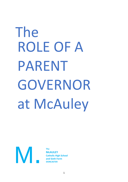# ROLE OF A PARENT GOVERNOR at McAuley The



**The McAULEY Catholic High School and Sixth Form DONCASTER**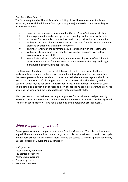### Dear Parent(s) / Carer(s),

The Governing Board of The McAuley Catholic High School has **one vacancy** for Parent Governor, whose child/children is/are registered pupil(s) at the school and are willing to offer the following:

- i. an understanding and promotion of the Catholic School's Aims and Identity
- ii. time to prepare for and attend governors' meetings and other school events
- iii. a concern for the whole school and its role in the parish and local community
- iv. willingness to learn about developments in education from the Headteacher and staff and by attending training for governors
- v. an understanding of the governing body's relationship with the Headteacher
- vi. willingness to be a good team member working harmoniously with fellow governors and school staff
- vii. an ability to maintain confidentiality in many areas of governors' work Parent Governors are elected for a four-year term and any expertise they can bring to our governing body will be appreciated.

The Governing Board and the Diocese of Hallam are keen to recruit from all ethnic backgrounds represented in the school community. Although elected by the parent body, the parent governor is not mandated to represent their views at meetings and should be alert to the importance of advising parents to contact the Headteacher directly in those issues for which he/she has professional responsibility. Being a parent governor at your child's school comes with a lot of responsibility, but for the right kind of parent, the rewards of seeing the school and the students flourish make it all worthwhile.

We hope that you may be interested in putting yourself forward. We would particularly welcome parents with experience in finance or human resources or with a legal background. The person specification will give you a clear idea of the person we are looking for.

## *What is a parent governor?*

Parent governors are a core part of a school's Board of Governors. The role is voluntary and unpaid. The outcome is indirect, since the governor role has little interaction with the pupils or with daily school life, but is much more "behind the scenes". As well as parent governors, a school's Board of Governors may consist of:

- Staff governors
- Local authority governors
- Foundation governors
- Partnership governors
- Co-opted governors
- Associate members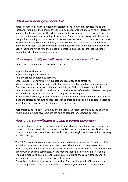# *What do parent governors do?*

Parent governors bring their wealth of experience and knowledge, contributing to the successful running of their child's school. Being a governor is a "hands off" role – decisions made by the board influence the whole school, but governors are not responsible for, or involved in, the day-to-day running of the school. The role is a necessary part of ensuring the good functioning of school leadership. Governors set the ethos of the school and drive for continuous improvement, and they also oversee financial performance and ensure money is well-spent. Governors commission the head teacher and other school leaders to act on their behalf in putting their ideas into practice, and they ensure that the school leadership is held to account in doing so.

## *What responsibility and influence do parent governors have?*

Quite a lot. It is the Board of Governors' role to:

- Appoint the head teacher.
- Appoint the deputy head teacher.
- Hold the school leadership to account.
- Ensure school staff have training, support and resources to be effective.
- Maintain oversight of the school's budget spending, including pupil premium allocation.
- Decide on the aims, strategy, vision and maintain the Catholic ethos of the school.
- Determine ways to put all of the above into practice as part of the school development plan. • Hear the later stages of staff grievances or pupil exclusion appeals.
- As you can see, school governors have both a creative and managerial remit. They develop ideas and strategies for putting those ideas in to practice, but also hold leaders to account and offer them constructive feedback on their performance.

Responsibility does not rest with any one individual. Decisions are made by the board as a whole, and individual governors are not held to account for collective decisions.

# *How big a commitment is being a parent governor?*

The term of office is usually four years and it may extend beyond their child's time at the school if their child graduates or changes school during the four-year period. During this time, you would be expected to attend and contribute thoughts and ideas to the governing board's meetings.

The full Governing Board meets once a term, as do the sub-committees for: Catholic Life and Ethos, Standards and Finance and Resources. There are ad hoc committees for Admissions, Pay and Personnel and Headteacher Appraisal. Governors are asked to serve on a minimum of one sub-committee. All the meetings take place on a weekday evening. Training is made available online through Educare, but also the Local Authority and, on occasions, whole governor training takes place on site.

You will also be invited to school events such as Masses, Liturgies, INSET events. Under current employment law, employers must allow employees to undertake their duties at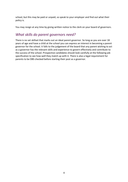school, but this may be paid or unpaid, so speak to your employer and find out what their policy is.

You may resign at any time by giving written notice to the clerk on your board of governors.

# *What skills do parent governors need?*

There is no set skillset that marks out an ideal parent governor. So long as you are over 18 years of age and have a child at the school you can express an interest in becoming a parent governor for the school. It falls to the judgement of the board that any parent wishing to act as a governor has the relevant skills and experience to govern effectively and contribute to the success of the school. Prospective candidates should look carefully at the following job specification to see how well they match up with it. There is also a legal requirement for parents to be DBS checked before starting their post as a governor.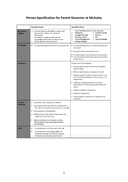# **Person Specification for Parent Governor at McAuley**

|                                             | <b>Essential Criteria</b>                                                                                                                                                                                                                                                                                                                                                               | <b>Desirable Criteria</b>                                                                                                                                                                                                                                                                                                                                                                                                                                                                              |
|---------------------------------------------|-----------------------------------------------------------------------------------------------------------------------------------------------------------------------------------------------------------------------------------------------------------------------------------------------------------------------------------------------------------------------------------------|--------------------------------------------------------------------------------------------------------------------------------------------------------------------------------------------------------------------------------------------------------------------------------------------------------------------------------------------------------------------------------------------------------------------------------------------------------------------------------------------------------|
| <b>Key Skills &amp;</b><br><b>Abilities</b> | Analytical skills and the ability to understand<br>and question written and numerical<br>information;<br>The ability to establish good working<br>٠<br>relationships with Governors, Parents and<br>Staff at all levels within the school                                                                                                                                               | Any of the following skills will also add value;<br>٠<br>• Problem Solving<br>Marketing<br>٠<br><b>Strategic Planning</b><br>Finance<br>Communications<br><b>HR</b><br>٠<br>Legal Knowledge<br><b>Project Management</b><br>٠<br><b>Decision Making</b><br>٠                                                                                                                                                                                                                                           |
| <b>Knowledge</b>                            | An understanding of the role of School Governors                                                                                                                                                                                                                                                                                                                                        | • An understanding of how schools performance is<br>measured<br>• An understanding of schools finance<br>An understanding of the key issues and priorities<br>• An understanding of the key issues and priorities<br>facing schools.                                                                                                                                                                                                                                                                   |
| <b>Experience</b>                           |                                                                                                                                                                                                                                                                                                                                                                                         | At least one of the following:<br>• Business planning and monitoring of progress<br>against targets<br>• Effective performance management of staff<br>• Budget analysis in order to understand the costs<br>associated with particular services, projects and<br>programmes.<br>• Analysing complex performance data and<br>information and forming recommendations for<br>action;<br>Health and Safety management<br>Premises management<br>Understanding or experience of publicity and<br>marketing |
| <b>Personal</b><br><b>Attributes</b>        | • An interest in the education of children<br>• An enquiring mind and desire to understand how<br>the school is impacting the performance of pupils<br>• Self motivated and dependable<br>Effective team worker, able to share ideas and<br>make best use of resources;<br>Able to understand and interpret sensitive<br>information and apply appropriate levels of<br>confidentiality |                                                                                                                                                                                                                                                                                                                                                                                                                                                                                                        |
| Other                                       | A commitment to the demands of the role<br>$\bullet$<br>A commitment to developing skills and<br>٠<br>knowledge through training and taking up<br>briefings and networking opportunities                                                                                                                                                                                                |                                                                                                                                                                                                                                                                                                                                                                                                                                                                                                        |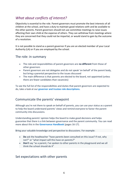# *What about conflicts of interest?*

Objectivity is essential to the role. Parent governors must promote the best interests of all children at the school, and have a duty to maintain good relations with and be available to the other parents. Parent governors should not use committee meetings to raise issues affecting their own child at the expense of others. They can withdraw from meetings where they are concerned that they could not be impartial, or would stand to gain by the outcome of a resolution.

It is not possible to stand as a parent governor if you are an elected member of your Local Authority (LA) or if you are employed by the school.

## The role: in summary

- The role and responsibilities of parent governors are **no different** from those of other governors
- Parent governors are not delegates and do not speak 'on behalf' of the parent body, but bring a parental perspective to the issues discussed
- The main difference is that parents are elected to the board, not appointed (unless there are fewer candidates than vacancies)

To see the full list of the responsibilities and duties that parent governors are expected to do, take a look at our **[governor and trustee role descriptions.](https://schoolgovernors.thekeysupport.com/the-governing-body/roles-on-the-governing-body/role-descriptions-governors-and-trustees/?marker=content-body)**

## Communicate the parents' viewpoint

Although you're not there to speak on behalf of parents, you can use your status as a parent to help the board understand parents' views and remind everyone to factor the parent community into discussions.

Understanding parents' opinion helps the board to make good decisions and helps guarantee that there is a link between governance and the parent community. You can read more about this in the **[Governance Handbook](https://assets.publishing.service.gov.uk/government/uploads/system/uploads/attachment_data/file/788234/governance_handbook_2017.pdf)** (pages 16-17).

Bring your valuable knowledge and perspective to discussions. For example:

- **Do** ask the headteacher "have parents been consulted on this issue? If not, why not?" or "what impact will this have on parents?"
- **Don't** say "as a parent, I've spoken to other parents in the playground and we all think the school should do X"

## Set expectations with other parents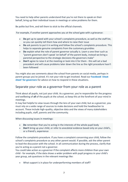You need to help other parents understand that you're not there to speak on their behalf, bring up their individual issues in meetings or solve problems for them.

Be polite but firm, and tell them to stick to the official channels.

For example, if another parent approaches you at the school gate with a grievance:

- **Do** get up to speed with your school's complaints procedure, as well as the staff list, so you can quickly tell them how and where to raise their issue
- **Do** ask parents to put it in writing and follow the school's complaints procedure. This helps to separate genuine complaints from the customary grumbles
- **Do** explain what the role of parent governor actually is. Learn a one-liner such as "parent governors don't speak 'on behalf' of the parent body, instead we bring a parental perspective to the strategic decisions the governors make"
- **Don't** agree to raise it at the meeting or look into it for them this will set a bad precedent and will cause problems later down the line as the right procedure hasn't been followed

You might also see comments about the school from parents on social media, perhaps in parent groups you've joined. It's not your role to get involved. Read our **[Facebook 'cheat](https://schoolgovernors.thekeysupport.com/the-governing-body/governor-conduct/facebook-cheat-sheet-governors/?marker=content-body)  [sheet' for governors](https://schoolgovernors.thekeysupport.com/the-governing-body/governor-conduct/facebook-cheat-sheet-governors/?marker=content-body)** for advice on how to respond in these situations.

## Separate your role as a governor from your role as a parent

Think about all pupils, not just your child. As a governor, you're responsible for the progress and wellbeing of **all** of the pupils at the school, so keep this at the forefront of your mind in meetings.

It may feel helpful to view issues through the lens of your own child, but as a governor, you must rely on a wide range of sources to make decisions and hold the headteacher to account. These include high-quality, objective data and the views of many stakeholders including pupils, staff, parents and the community.

When discussing issues in meetings:

- **Do** remember that you're acting in the interests of the whole pupil body
- **Don't** bring up your child, or refer to anecdotal evidence based only on your child's, or a friend's, experience

Follow the complaints procedure. If you have a complaint concerning your child, follow the school's complaints procedure as any other parent would. If possible, ask the other parent to lead the discussion with the school. In all communication during the process, clarify that you're acting as a parent not a governor.

You could take action as a governor if the complaint affects more children than your own child - for example, if the data shows a wider problem with pupil progress in your child's year group, ask questions in the relevant meetings like:

• What support is in place for underperforming members of staff?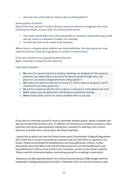• How does the school help all children who are falling behind?

#### Avoid conflicts of interest

Most of the time, you won't need to declare a personal interest in all agenda items that could have an impact on your child. You should do this where:

- The matter would affect your child individually (an exclusions panel where your child was the victim of a behaviour incident, for example)
- You feel too close to the matter to be impartial

Where there is a dispute about whether you should withdraw, the other governors may make this decision. Read more guidance on conflicts of interest **[here.](https://schoolgovernors.thekeysupport.com/the-governing-body/conflicts-interest/conflicts-interest/?marker=content-body)**

If you have concerns over a governing board decision Again, remember to keep the roles separate.

If you have a concern:

- **Do** raise it in a governing board meeting. Meetings are designed for this purpose; governors can openly discuss decisions the governing board might take, and governors can express disagreement by voting against it
- **Do** respect the decision taken by the board if it's been voted on properly, and be united with your fellow governors
- **Do** ask for a meeting with the chair to discuss a decision in more detail if you wish
- **Don't** express your disagreement outside governing board meetings
- **Don't** involve other parents or seek to mobilise them in any way

If you wish to nominate yourself or wish to nominate another parent, please complete and sign the enclosed Nomination Form. In addition, all nominees are invited to produce a short summary (250 words approximately) stating their reason(s) for wishing to be a Parent Governor and what they could bring to the Governing Body.

I would like to advise you that the School Governance (Constitution) (England) Regulations 2012 state that in certain circumstances a person may not hold office as a governor of a school. Please find enclosed the Qualifications and Disqualifications Criteria. Further information about the Role of the Elected Parent Governor and the Qualifications and Disqualifications Criteria can be found in the 'Vacancies' section of the school's website. Please read this information before nominating yourself or accepting a nomination.

Disclosure and Barring Information The Criminal Records Bureau (CRB) merged with the Independent Safeguarding Authority (ISA) in December 2012 to form the Disclosure and